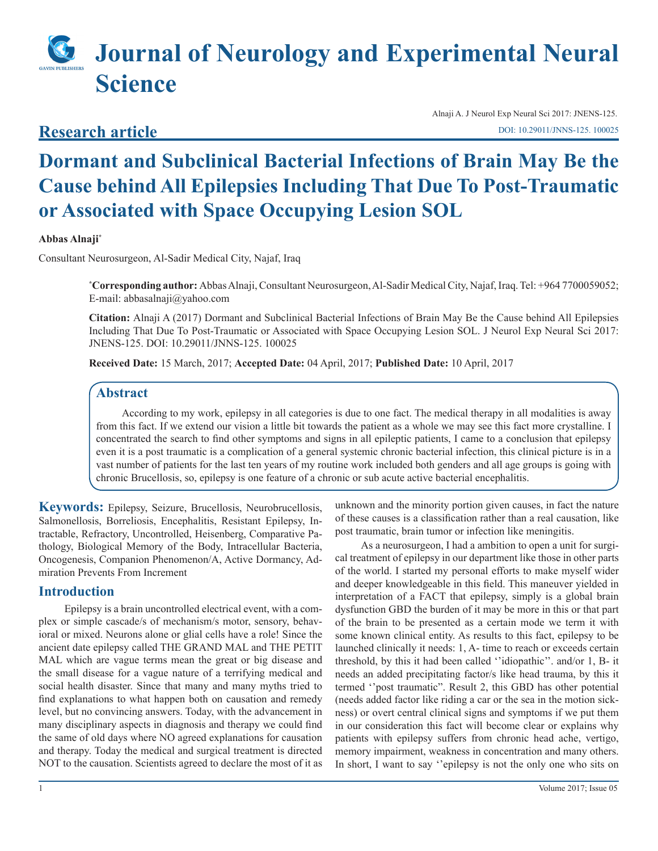# **Journal of Neurology and Experimental Neural Science**

### **Research article**

Alnaji A. J Neurol Exp Neural Sci 2017: JNENS-125. [DOI: 10.29011/JNNS-125. 100025](http://doi.org/10.29011/JNNS-125. 100025)

## **Dormant and Subclinical Bacterial Infections of Brain May Be the Cause behind All Epilepsies Including That Due To Post-Traumatic or Associated with Space Occupying Lesion SOL**

#### **Abbas Alnaji\***

Consultant Neurosurgeon, Al-Sadir Medical City, Najaf, Iraq

**\* Corresponding author:** Abbas Alnaji, Consultant Neurosurgeon, Al-Sadir Medical City, Najaf, Iraq. Tel: +964 7700059052; E-mail: abbasalnaji@yahoo.com

**Citation:** Alnaji A (2017) Dormant and Subclinical Bacterial Infections of Brain May Be the Cause behind All Epilepsies Including That Due To Post-Traumatic or Associated with Space Occupying Lesion SOL. J Neurol Exp Neural Sci 2017: JNENS-125. DOI: 10.29011/JNNS-125. 100025

**Received Date:** 15 March, 2017; **Accepted Date:** 04 April, 2017; **Published Date:** 10 April, 2017

#### **Abstract**

According to my work, epilepsy in all categories is due to one fact. The medical therapy in all modalities is away from this fact. If we extend our vision a little bit towards the patient as a whole we may see this fact more crystalline. I concentrated the search to find other symptoms and signs in all epileptic patients, I came to a conclusion that epilepsy even it is a post traumatic is a complication of a general systemic chronic bacterial infection, this clinical picture is in a vast number of patients for the last ten years of my routine work included both genders and all age groups is going with chronic Brucellosis, so, epilepsy is one feature of a chronic or sub acute active bacterial encephalitis.

**Keywords:** Epilepsy, Seizure, Brucellosis, Neurobrucellosis, Salmonellosis, Borreliosis, Encephalitis, Resistant Epilepsy, Intractable, Refractory, Uncontrolled, Heisenberg, Comparative Pathology, Biological Memory of the Body, Intracellular Bacteria, Oncogenesis, Companion Phenomenon/A, Active Dormancy, Admiration Prevents From Increment

#### **Introduction**

Epilepsy is a brain uncontrolled electrical event, with a complex or simple cascade/s of mechanism/s motor, sensory, behavioral or mixed. Neurons alone or glial cells have a role! Since the ancient date epilepsy called THE GRAND MAL and THE PETIT MAL which are vague terms mean the great or big disease and the small disease for a vague nature of a terrifying medical and social health disaster. Since that many and many myths tried to find explanations to what happen both on causation and remedy level, but no convincing answers. Today, with the advancement in many disciplinary aspects in diagnosis and therapy we could find the same of old days where NO agreed explanations for causation and therapy. Today the medical and surgical treatment is directed NOT to the causation. Scientists agreed to declare the most of it as

unknown and the minority portion given causes, in fact the nature of these causes is a classification rather than a real causation, like post traumatic, brain tumor or infection like meningitis.

As a neurosurgeon, I had a ambition to open a unit for surgical treatment of epilepsy in our department like those in other parts of the world. I started my personal efforts to make myself wider and deeper knowledgeable in this field. This maneuver yielded in interpretation of a FACT that epilepsy, simply is a global brain dysfunction GBD the burden of it may be more in this or that part of the brain to be presented as a certain mode we term it with some known clinical entity. As results to this fact, epilepsy to be launched clinically it needs: 1, A- time to reach or exceeds certain threshold, by this it had been called ''idiopathic''. and/or 1, B- it needs an added precipitating factor/s like head trauma, by this it termed ''post traumatic". Result 2, this GBD has other potential (needs added factor like riding a car or the sea in the motion sickness) or overt central clinical signs and symptoms if we put them in our consideration this fact will become clear or explains why patients with epilepsy suffers from chronic head ache, vertigo, memory impairment, weakness in concentration and many others. In short, I want to say "epilepsy is not the only one who sits on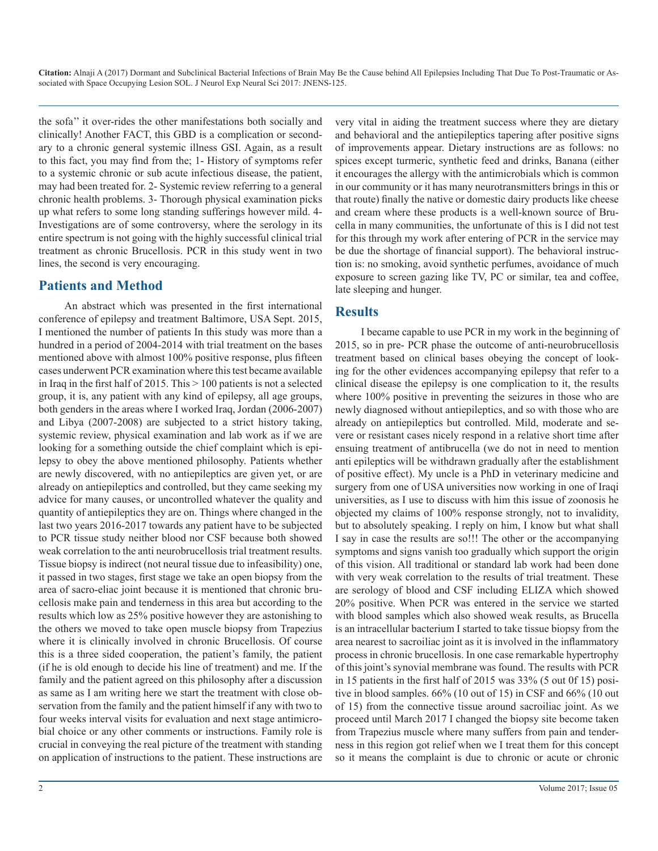**Citation:** Alnaji A (2017) Dormant and Subclinical Bacterial Infections of Brain May Be the Cause behind All Epilepsies Including That Due To Post-Traumatic or Associated with Space Occupying Lesion SOL. J Neurol Exp Neural Sci 2017: JNENS-125.

the sofa'' it over-rides the other manifestations both socially and clinically! Another FACT, this GBD is a complication or secondary to a chronic general systemic illness GSI. Again, as a result to this fact, you may find from the; 1- History of symptoms refer to a systemic chronic or sub acute infectious disease, the patient, may had been treated for. 2- Systemic review referring to a general chronic health problems. 3- Thorough physical examination picks up what refers to some long standing sufferings however mild. 4- Investigations are of some controversy, where the serology in its entire spectrum is not going with the highly successful clinical trial treatment as chronic Brucellosis. PCR in this study went in two lines, the second is very encouraging.

#### **Patients and Method**

An abstract which was presented in the first international conference of epilepsy and treatment Baltimore, USA Sept. 2015, I mentioned the number of patients In this study was more than a hundred in a period of 2004-2014 with trial treatment on the bases mentioned above with almost 100% positive response, plus fifteen cases underwent PCR examination where this test became available in Iraq in the first half of 2015. This  $> 100$  patients is not a selected group, it is, any patient with any kind of epilepsy, all age groups, both genders in the areas where I worked Iraq, Jordan (2006-2007) and Libya (2007-2008) are subjected to a strict history taking, systemic review, physical examination and lab work as if we are looking for a something outside the chief complaint which is epilepsy to obey the above mentioned philosophy. Patients whether are newly discovered, with no antiepileptics are given yet, or are already on antiepileptics and controlled, but they came seeking my advice for many causes, or uncontrolled whatever the quality and quantity of antiepileptics they are on. Things where changed in the last two years 2016-2017 towards any patient have to be subjected to PCR tissue study neither blood nor CSF because both showed weak correlation to the anti neurobrucellosis trial treatment results. Tissue biopsy is indirect (not neural tissue due to infeasibility) one, it passed in two stages, first stage we take an open biopsy from the area of sacro-eliac joint because it is mentioned that chronic brucellosis make pain and tenderness in this area but according to the results which low as 25% positive however they are astonishing to the others we moved to take open muscle biopsy from Trapezius where it is clinically involved in chronic Brucellosis. Of course this is a three sided cooperation, the patient's family, the patient (if he is old enough to decide his line of treatment) and me. If the family and the patient agreed on this philosophy after a discussion as same as I am writing here we start the treatment with close observation from the family and the patient himself if any with two to four weeks interval visits for evaluation and next stage antimicrobial choice or any other comments or instructions. Family role is crucial in conveying the real picture of the treatment with standing on application of instructions to the patient. These instructions are

very vital in aiding the treatment success where they are dietary and behavioral and the antiepileptics tapering after positive signs of improvements appear. Dietary instructions are as follows: no spices except turmeric, synthetic feed and drinks, Banana (either it encourages the allergy with the antimicrobials which is common in our community or it has many neurotransmitters brings in this or that route) finally the native or domestic dairy products like cheese and cream where these products is a well-known source of Brucella in many communities, the unfortunate of this is I did not test for this through my work after entering of PCR in the service may be due the shortage of financial support). The behavioral instruction is: no smoking, avoid synthetic perfumes, avoidance of much exposure to screen gazing like TV, PC or similar, tea and coffee, late sleeping and hunger.

#### **Results**

I became capable to use PCR in my work in the beginning of 2015, so in pre- PCR phase the outcome of anti-neurobrucellosis treatment based on clinical bases obeying the concept of looking for the other evidences accompanying epilepsy that refer to a clinical disease the epilepsy is one complication to it, the results where 100% positive in preventing the seizures in those who are newly diagnosed without antiepileptics, and so with those who are already on antiepileptics but controlled. Mild, moderate and severe or resistant cases nicely respond in a relative short time after ensuing treatment of antibrucella (we do not in need to mention anti epileptics will be withdrawn gradually after the establishment of positive effect). My uncle is a PhD in veterinary medicine and surgery from one of USA universities now working in one of Iraqi universities, as I use to discuss with him this issue of zoonosis he objected my claims of 100% response strongly, not to invalidity, but to absolutely speaking. I reply on him, I know but what shall I say in case the results are so!!! The other or the accompanying symptoms and signs vanish too gradually which support the origin of this vision. All traditional or standard lab work had been done with very weak correlation to the results of trial treatment. These are serology of blood and CSF including ELIZA which showed 20% positive. When PCR was entered in the service we started with blood samples which also showed weak results, as Brucella is an intracellular bacterium I started to take tissue biopsy from the area nearest to sacroiliac joint as it is involved in the inflammatory process in chronic brucellosis. In one case remarkable hypertrophy of this joint's synovial membrane was found. The results with PCR in 15 patients in the first half of 2015 was 33% (5 out 0f 15) positive in blood samples. 66% (10 out of 15) in CSF and 66% (10 out of 15) from the connective tissue around sacroiliac joint. As we proceed until March 2017 I changed the biopsy site become taken from Trapezius muscle where many suffers from pain and tenderness in this region got relief when we I treat them for this concept so it means the complaint is due to chronic or acute or chronic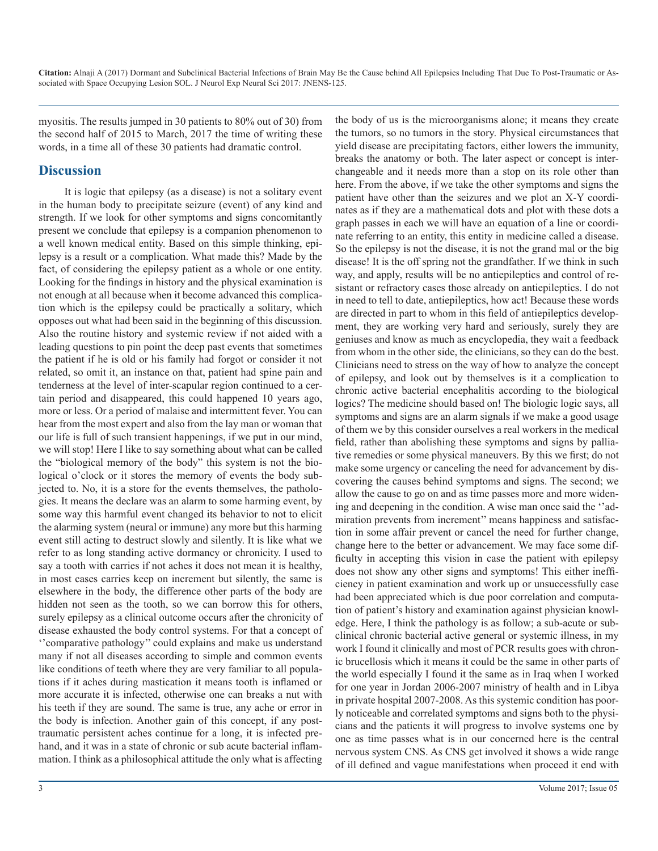**Citation:** Alnaji A (2017) Dormant and Subclinical Bacterial Infections of Brain May Be the Cause behind All Epilepsies Including That Due To Post-Traumatic or Associated with Space Occupying Lesion SOL. J Neurol Exp Neural Sci 2017: JNENS-125.

myositis. The results jumped in 30 patients to 80% out of 30) from the second half of 2015 to March, 2017 the time of writing these words, in a time all of these 30 patients had dramatic control.

#### **Discussion**

It is logic that epilepsy (as a disease) is not a solitary event in the human body to precipitate seizure (event) of any kind and strength. If we look for other symptoms and signs concomitantly present we conclude that epilepsy is a companion phenomenon to a well known medical entity. Based on this simple thinking, epilepsy is a result or a complication. What made this? Made by the fact, of considering the epilepsy patient as a whole or one entity. Looking for the findings in history and the physical examination is not enough at all because when it become advanced this complication which is the epilepsy could be practically a solitary, which opposes out what had been said in the beginning of this discussion. Also the routine history and systemic review if not aided with a leading questions to pin point the deep past events that sometimes the patient if he is old or his family had forgot or consider it not related, so omit it, an instance on that, patient had spine pain and tenderness at the level of inter-scapular region continued to a certain period and disappeared, this could happened 10 years ago, more or less. Or a period of malaise and intermittent fever. You can hear from the most expert and also from the lay man or woman that our life is full of such transient happenings, if we put in our mind, we will stop! Here I like to say something about what can be called the "biological memory of the body" this system is not the biological o'clock or it stores the memory of events the body subjected to. No, it is a store for the events themselves, the pathologies. It means the declare was an alarm to some harming event, by some way this harmful event changed its behavior to not to elicit the alarming system (neural or immune) any more but this harming event still acting to destruct slowly and silently. It is like what we refer to as long standing active dormancy or chronicity. I used to say a tooth with carries if not aches it does not mean it is healthy, in most cases carries keep on increment but silently, the same is elsewhere in the body, the difference other parts of the body are hidden not seen as the tooth, so we can borrow this for others, surely epilepsy as a clinical outcome occurs after the chronicity of disease exhausted the body control systems. For that a concept of ''comparative pathology'' could explains and make us understand many if not all diseases according to simple and common events like conditions of teeth where they are very familiar to all populations if it aches during mastication it means tooth is inflamed or more accurate it is infected, otherwise one can breaks a nut with his teeth if they are sound. The same is true, any ache or error in the body is infection. Another gain of this concept, if any posttraumatic persistent aches continue for a long, it is infected prehand, and it was in a state of chronic or sub acute bacterial inflammation. I think as a philosophical attitude the only what is affecting

the body of us is the microorganisms alone; it means they create the tumors, so no tumors in the story. Physical circumstances that yield disease are precipitating factors, either lowers the immunity, breaks the anatomy or both. The later aspect or concept is interchangeable and it needs more than a stop on its role other than here. From the above, if we take the other symptoms and signs the patient have other than the seizures and we plot an X-Y coordinates as if they are a mathematical dots and plot with these dots a graph passes in each we will have an equation of a line or coordinate referring to an entity, this entity in medicine called a disease. So the epilepsy is not the disease, it is not the grand mal or the big disease! It is the off spring not the grandfather. If we think in such way, and apply, results will be no antiepileptics and control of resistant or refractory cases those already on antiepileptics. I do not in need to tell to date, antiepileptics, how act! Because these words are directed in part to whom in this field of antiepileptics development, they are working very hard and seriously, surely they are geniuses and know as much as encyclopedia, they wait a feedback from whom in the other side, the clinicians, so they can do the best. Clinicians need to stress on the way of how to analyze the concept of epilepsy, and look out by themselves is it a complication to chronic active bacterial encephalitis according to the biological logics? The medicine should based on! The biologic logic says, all symptoms and signs are an alarm signals if we make a good usage of them we by this consider ourselves a real workers in the medical field, rather than abolishing these symptoms and signs by palliative remedies or some physical maneuvers. By this we first; do not make some urgency or canceling the need for advancement by discovering the causes behind symptoms and signs. The second; we allow the cause to go on and as time passes more and more widening and deepening in the condition. A wise man once said the ''admiration prevents from increment'' means happiness and satisfaction in some affair prevent or cancel the need for further change, change here to the better or advancement. We may face some difficulty in accepting this vision in case the patient with epilepsy does not show any other signs and symptoms! This either inefficiency in patient examination and work up or unsuccessfully case had been appreciated which is due poor correlation and computation of patient's history and examination against physician knowledge. Here, I think the pathology is as follow; a sub-acute or subclinical chronic bacterial active general or systemic illness, in my work I found it clinically and most of PCR results goes with chronic brucellosis which it means it could be the same in other parts of the world especially I found it the same as in Iraq when I worked for one year in Jordan 2006-2007 ministry of health and in Libya in private hospital 2007-2008. As this systemic condition has poorly noticeable and correlated symptoms and signs both to the physicians and the patients it will progress to involve systems one by one as time passes what is in our concerned here is the central nervous system CNS. As CNS get involved it shows a wide range of ill defined and vague manifestations when proceed it end with